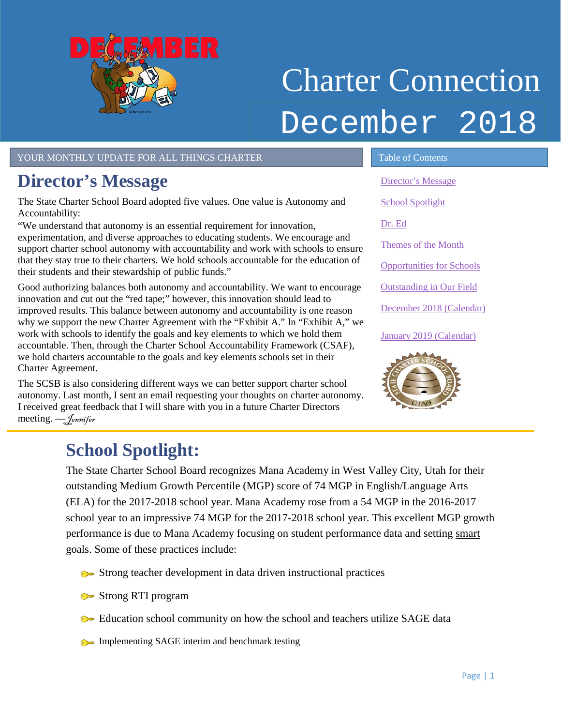<span id="page-0-1"></span>

# Charter Connection December 2018

YOUR MONTHLY UPDATE FOR ALL THINGS CHARTER TABLE OF Contents

## <span id="page-0-0"></span>**Director's Message**

The State Charter School Board adopted five values. One value is Autonomy and Accountability:

"We understand that autonomy is an essential requirement for innovation, experimentation, and diverse approaches to educating students. We encourage and support charter school autonomy with accountability and work with schools to ensure that they stay true to their charters. We hold schools accountable for the education of their students and their stewardship of public funds."

Good authorizing balances both autonomy and accountability. We want to encourage innovation and cut out the "red tape;" however, this innovation should lead to improved results. This balance between autonomy and accountability is one reason why we support the new Charter Agreement with the "Exhibit A." In "Exhibit A," we work with schools to identify the goals and key elements to which we hold them accountable. Then, through the Charter School Accountability Framework (CSAF), we hold charters accountable to the goals and key elements schools set in their Charter Agreement.

The SCSB is also considering different ways we can better support charter school autonomy. Last month, I sent an email requesting your thoughts on charter autonomy. I received great feedback that I will share with you in a future Charter Directors meeting. –*Jennifer* 

[Director's Message](#page-0-0) [School Spotlight](#page-0-1) [Dr. Ed](#page-1-0) [Themes of the Month](#page-1-1) [Opportunities for Schools](#page-2-0)  [Outstanding in Our Field](#page-2-1) December [2018 \(Calendar\)](#page-3-0)  [January 2019 \(Calendar\)](#page-3-1)



l,

## **School Spotlight:**

The State Charter School Board recognizes Mana Academy in West Valley City, Utah for their outstanding Medium Growth Percentile (MGP) score of 74 MGP in English/Language Arts (ELA) for the 2017-2018 school year. Mana Academy rose from a 54 MGP in the 2016-2017 school year to an impressive 74 MGP for the 2017-2018 school year. This excellent MGP growth performance is due to Mana Academy focusing on student performance data and setting smart goals. Some of these practices include:

- Strong teacher development in data driven instructional practices
- Strong RTI program
- **Example 3** Education school community on how the school and teachers utilize SAGE data
- Implementing SAGE interim and benchmark testing

Page | 1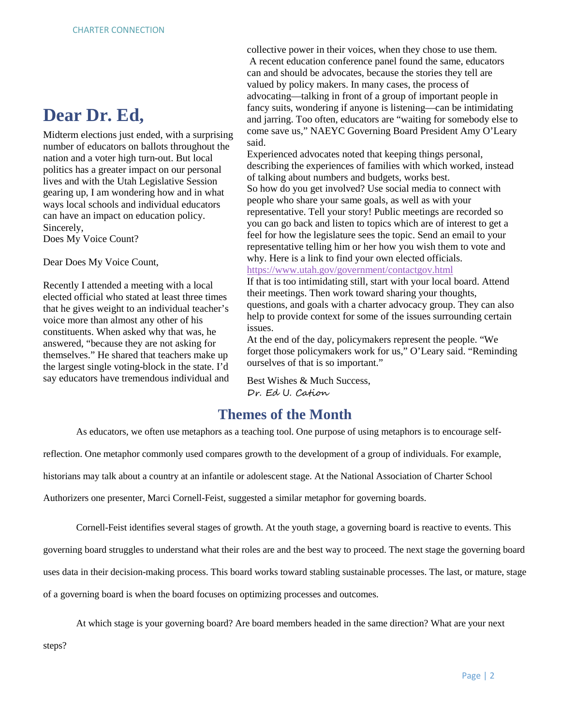### <span id="page-1-0"></span>**Dear Dr. Ed,**

Midterm elections just ended, with a surprising number of educators on ballots throughout the nation and a voter high turn-out. But local politics has a greater impact on our personal lives and with the Utah Legislative Session gearing up, I am wondering how and in what ways local schools and individual educators can have an impact on education policy. Sincerely, Does My Voice Count?

Dear Does My Voice Count,

Recently I attended a meeting with a local elected official who stated at least three times that he gives weight to an individual teacher's voice more than almost any other of his constituents. When asked why that was, he answered, "because they are not asking for themselves." He shared that teachers make up the largest single voting-block in the state. I'd say educators have tremendous individual and collective power in their voices, when they chose to use them. A recent education conference panel found the same, educators can and should be advocates, because the stories they tell are valued by policy makers. In many cases, the process of advocating––talking in front of a group of important people in fancy suits, wondering if anyone is listening––can be intimidating and jarring. Too often, educators are "waiting for somebody else to come save us," NAEYC Governing Board President Amy O'Leary said.

Experienced advocates noted that keeping things personal, describing the experiences of families with which worked, instead of talking about numbers and budgets, works best. So how do you get involved? Use social media to connect with people who share your same goals, as well as with your representative. Tell your story! Public meetings are recorded so you can go back and listen to topics which are of interest to get a feel for how the legislature sees the topic. Send an email to your representative telling him or her how you wish them to vote and why. Here is a link to find your own elected officials.

<https://www.utah.gov/government/contactgov.html>

If that is too intimidating still, start with your local board. Attend their meetings. Then work toward sharing your thoughts, questions, and goals with a charter advocacy group. They can also help to provide context for some of the issues surrounding certain issues.

At the end of the day, policymakers represent the people. "We forget those policymakers work for us," O'Leary said. "Reminding ourselves of that is so important."

Best Wishes & Much Success, Dr. Ed U. Cation

#### **Themes of the Month**

<span id="page-1-1"></span>As educators, we often use metaphors as a teaching tool. One purpose of using metaphors is to encourage self-

reflection. One metaphor commonly used compares growth to the development of a group of individuals. For example,

historians may talk about a country at an infantile or adolescent stage. At the National Association of Charter School

Authorizers one presenter, Marci Cornell-Feist, suggested a similar metaphor for governing boards.

Cornell-Feist identifies several stages of growth. At the youth stage, a governing board is reactive to events. This

governing board struggles to understand what their roles are and the best way to proceed. The next stage the governing board

uses data in their decision-making process. This board works toward stabling sustainable processes. The last, or mature, stage

of a governing board is when the board focuses on optimizing processes and outcomes.

At which stage is your governing board? Are board members headed in the same direction? What are your next

steps?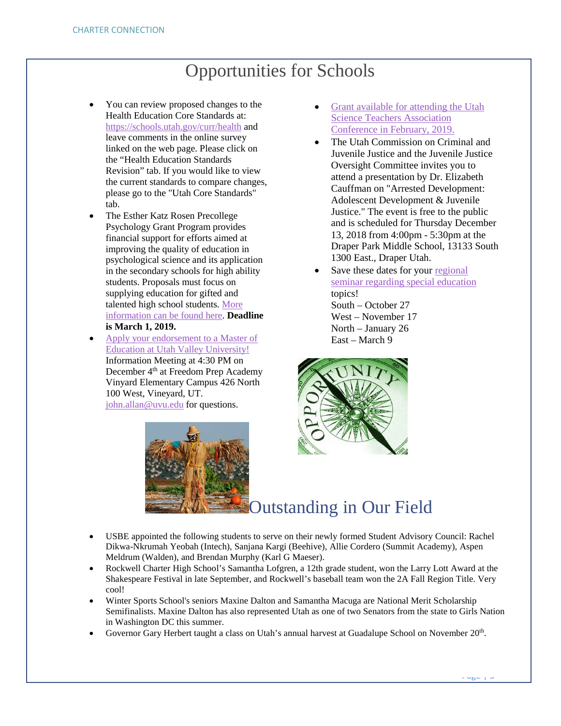## Opportunities for Schools

- <span id="page-2-0"></span>• You can review proposed changes to the Health Education Core Standards at: <https://schools.utah.gov/curr/health> and leave comments in the online survey linked on the web page. Please click on the "Health Education Standards Revision" tab. If you would like to view the current standards to compare changes, please go to the "Utah Core Standards" tab.
- The Esther Katz Rosen Precollege Psychology Grant Program provides financial support for efforts aimed at improving the quality of education in psychological science and its application in the secondary schools for high ability students. Proposals must focus on supplying education for gifted and talented high school students. [More](https://drive.google.com/file/d/1WOzmyoTCxJQxOd7VEgnjgMiMN0IbLfhl/view?usp=sharing)  [information can be found here.](https://drive.google.com/file/d/1WOzmyoTCxJQxOd7VEgnjgMiMN0IbLfhl/view?usp=sharing) **Deadline is March 1, 2019.**
- <span id="page-2-1"></span>• [Apply your endorsement to a Master](https://drive.google.com/file/d/1N_CtINsJ0yW1K2dxa4FZ1IllwdmNKUXw/view?usp=sharing) of Education [at Utah Valley University!](https://drive.google.com/file/d/1N_CtINsJ0yW1K2dxa4FZ1IllwdmNKUXw/view?usp=sharing) Information Meeting at 4:30 PM on December 4th at Freedom Prep Academy Vinyard Elementary Campus 426 North 100 West, Vineyard, UT. [john.allan@uvu.edu](mailto:john.allan@uvu.edu) for questions.
- [Grant available for attending the Utah](https://drive.google.com/file/d/1S61gyKANln6Nl_5BHwg9VYu5e5FvUmJX/view?usp=sharing)  [Science Teachers Association](https://drive.google.com/file/d/1S61gyKANln6Nl_5BHwg9VYu5e5FvUmJX/view?usp=sharing)  [Conference in February, 2019.](https://drive.google.com/file/d/1S61gyKANln6Nl_5BHwg9VYu5e5FvUmJX/view?usp=sharing)
- The Utah Commission on Criminal and Juvenile Justice and the Juvenile Justice Oversight Committee invites you to attend a presentation by Dr. Elizabeth Cauffman on "Arrested Development: Adolescent Development & Juvenile Justice." The event is free to the public and is scheduled for Thursday December 13, 2018 from 4:00pm - 5:30pm at the Draper Park Middle School, 13133 South 1300 East., Draper Utah.
- Save these dates for your regional [seminar regarding special education](https://drive.google.com/file/d/1JEg657aeIGbM-BDTb7Z427Iprf1shI54/view?usp=sharing) topics! South – October 27 West – November 17 North – January 26 East – March 9



## Outstanding in Our Field

- USBE appointed the following students to serve on their newly formed Student Advisory Council: Rachel Dikwa-Nkrumah Yeobah (Intech), Sanjana Kargi (Beehive), Allie Cordero (Summit Academy), Aspen Meldrum (Walden), and Brendan Murphy (Karl G Maeser).
- Rockwell Charter High School's Samantha Lofgren, a 12th grade student, won the Larry Lott Award at the Shakespeare Festival in late September, and Rockwell's baseball team won the 2A Fall Region Title. Very cool!
- Winter Sports School's seniors Maxine Dalton and Samantha Macuga are National Merit Scholarship Semifinalists. Maxine Dalton has also represented Utah as one of two Senators from the state to Girls Nation in Washington DC this summer.
- Governor Gary Herbert taught a class on Utah's annual harvest at Guadalupe School on November 20<sup>th</sup>.